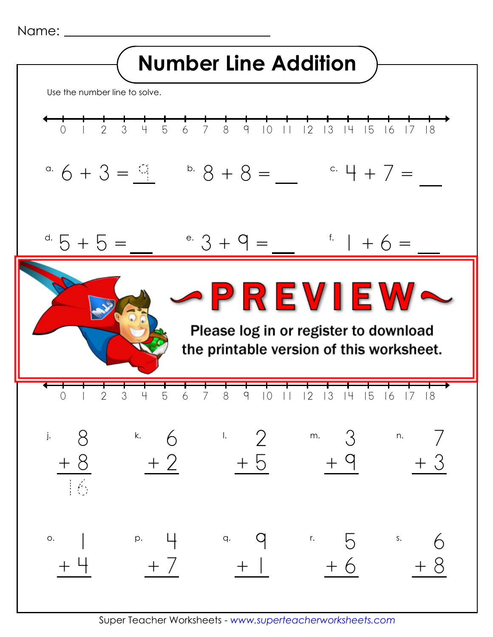```
Name:
```


Super Teacher Worksheets - *www.superteacherworksheets.com*